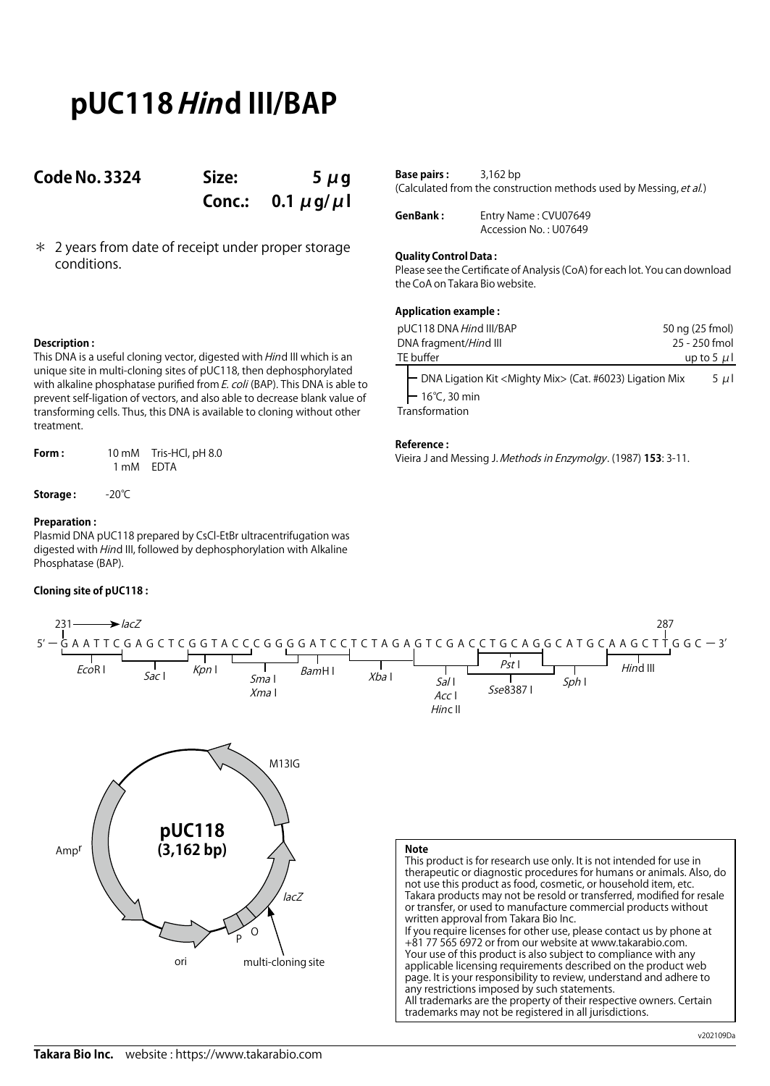# **pUC118 Hind III/BAP**

### **Code No. 3324 Size: 5 μg**

**Conc.: 0.1 μg/μl**

\* 2 years from date of receipt under proper storage conditions.

| <b>Base pairs:</b> | $3,162$ bp                                                         |
|--------------------|--------------------------------------------------------------------|
|                    | (Calculated from the construction methods used by Messing, et al.) |

**GenBank :** Entry Name : CVU07649 Accession No. : U07649

### **Quality Control Data :**

Please see the Certificate of Analysis (CoA) for each lot. You can download the CoA on Takara Bio website.

### **Application example :**

| pUC118 DNA Hind III/BAP                                                                                                        | 50 ng (25 fmol) |
|--------------------------------------------------------------------------------------------------------------------------------|-----------------|
| DNA fragment/Hind III                                                                                                          | 25 - 250 fmol   |
| TE buffer                                                                                                                      | up to 5 $\mu$ l |
| - DNA Ligation Kit <mighty mix=""> (Cat. #6023) Ligation Mix<br/><math>-16^{\circ}</math>C, 30 min<br/>Transformation</mighty> | $5 \mu$         |

### **Reference :**

Vieira J and Messing J. Methods in Enzymolgy. (1987) **153**: 3-11.

### **Description :**

This DNA is a useful cloning vector, digested with *Hin*d III which is an unique site in multi-cloning sites of pUC118, then dephosphorylated with alkaline phosphatase purified from E. coli (BAP). This DNA is able to prevent self-ligation of vectors, and also able to decrease blank value of transforming cells. Thus, this DNA is available to cloning without other treatment.

**Form :** 10 mM Tris-HCl, pH 8.0 1 mM EDTA

**Storage :** -20℃

### **Preparation :**

Plasmid DNA pUC118 prepared by CsCl-EtBr ultracentrifugation was digested with Hind III, followed by dephosphorylation with Alkaline Phosphatase (BAP).

### **Cloning site of pUC118 :**